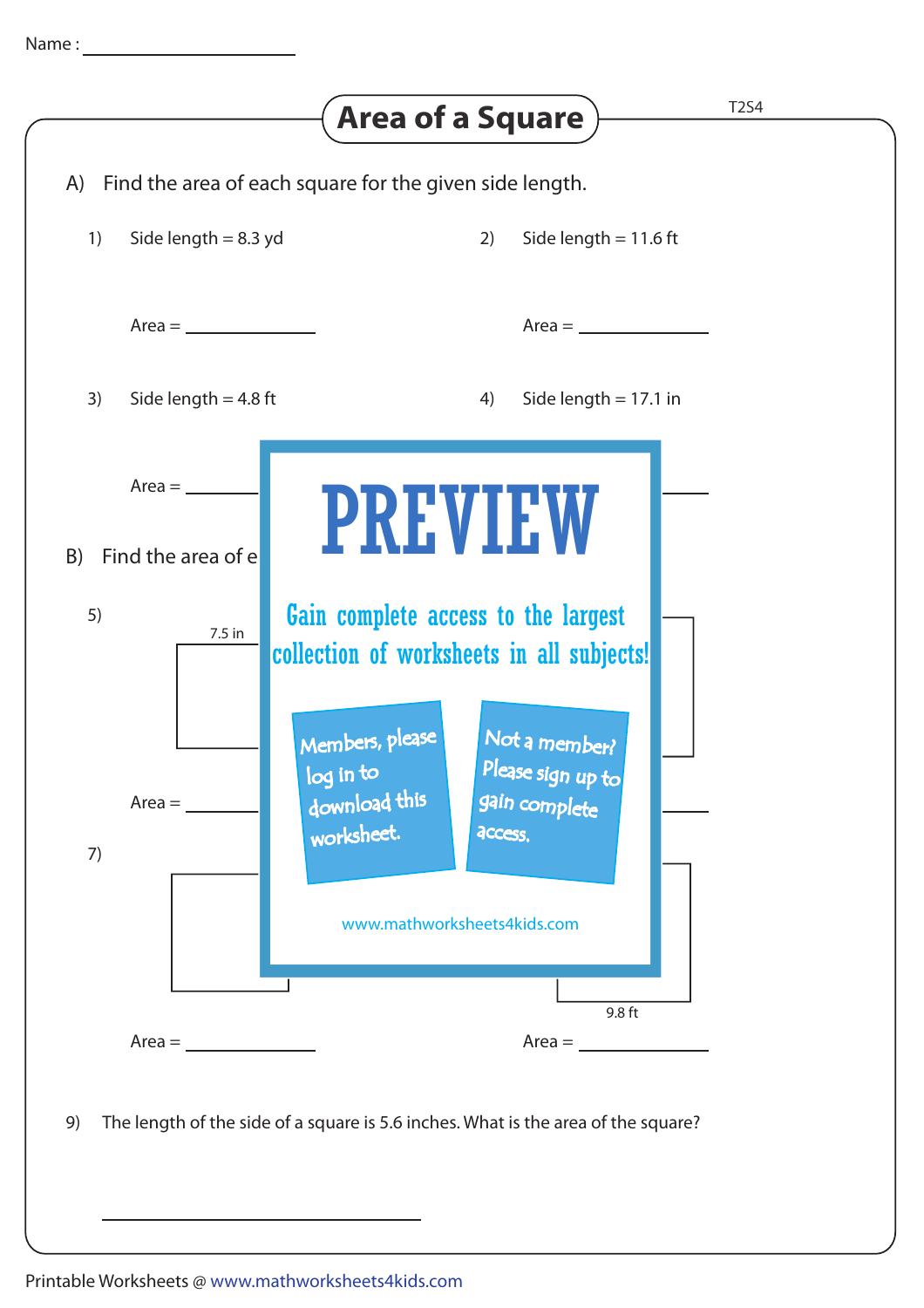